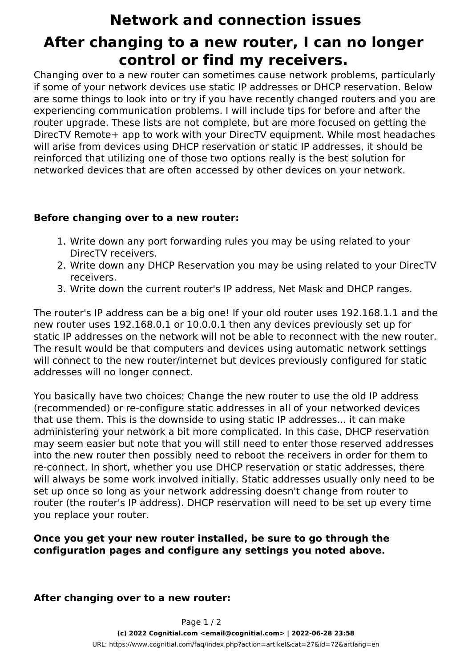# **Network and connection issues After changing to a new router, I can no longer control or find my receivers.**

Changing over to a new router can sometimes cause network problems, particularly if some of your network devices use static IP addresses or DHCP reservation. Below are some things to look into or try if you have recently changed routers and you are experiencing communication problems. I will include tips for before and after the router upgrade. These lists are not complete, but are more focused on getting the DirecTV Remote+ app to work with your DirecTV equipment. While most headaches will arise from devices using DHCP reservation or static IP addresses, it should be reinforced that utilizing one of those two options really is the best solution for networked devices that are often accessed by other devices on your network.

## **Before changing over to a new router:**

- 1. Write down any port forwarding rules you may be using related to your DirecTV receivers.
- 2. Write down any DHCP Reservation you may be using related to your DirecTV receivers.
- 3. Write down the current router's IP address, Net Mask and DHCP ranges.

*The router's IP address can be a big one! If your old router uses 192.168.1.1 and the new router uses 192.168.0.1 or 10.0.0.1 then any devices previously set up for static IP addresses on the network will not be able to reconnect with the new router. The result would be that computers and devices using automatic network settings will connect to the new router/internet but devices previously configured for static addresses will no longer connect.*

*You basically have two choices: Change the new router to use the old IP address (recommended) or re-configure static addresses in all of your networked devices that use them. This is the downside to using static IP addresses... it can make administering your network a bit more complicated. In this case, DHCP reservation may seem easier but note that you will still need to enter those reserved addresses into the new router then possibly need to reboot the receivers in order for them to re-connect. In short, whether you use DHCP reservation or static addresses, there will always be some work involved initially. Static addresses usually only need to be set up once so long as your network addressing doesn't change from router to router (the router's IP address). DHCP reservation will need to be set up every time you replace your router.*

## **Once you get your new router installed, be sure to go through the configuration pages and configure any settings you noted above.**

#### **After changing over to a new router:**